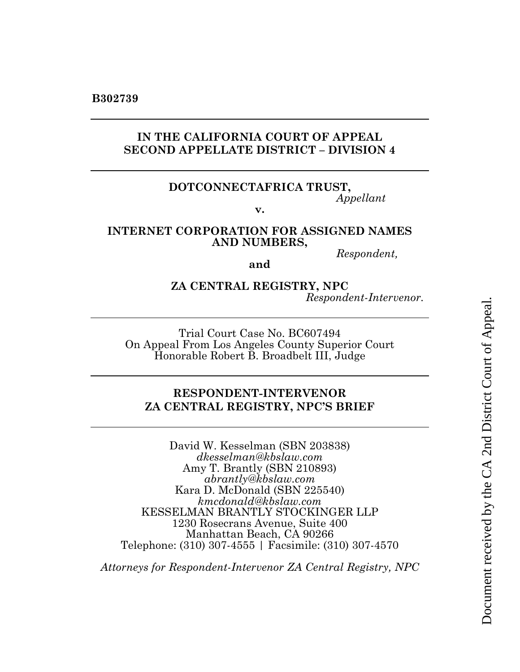# **IN THE CALIFORNIA COURT OF APPEAL SECOND APPELLATE DISTRICT – DIVISION 4**

#### **DOTCONNECTAFRICA TRUST,**  *Appellant*

**v.**

### **INTERNET CORPORATION FOR ASSIGNED NAMES AND NUMBERS,**

*Respondent,*

**and**

### **ZA CENTRAL REGISTRY, NPC** *Respondent-Intervenor.*

Trial Court Case No. BC607494 On Appeal From Los Angeles County Superior Court Honorable Robert B. Broadbelt III, Judge

# **RESPONDENT-INTERVENOR ZA CENTRAL REGISTRY, NPC'S BRIEF**

David W. Kesselman (SBN 203838) *dkesselman@kbslaw.com* Amy T. Brantly (SBN 210893) *abrantly@kbslaw.com* Kara D. McDonald (SBN 225540) *kmcdonald@kbslaw.com* KESSELMAN BRANTLY STOCKINGER LLP 1230 Rosecrans Avenue, Suite 400 Manhattan Beach, CA 90266 Telephone: (310) 307-4555 | Facsimile: (310) 307-4570

*Attorneys for Respondent-Intervenor ZA Central Registry, NPC*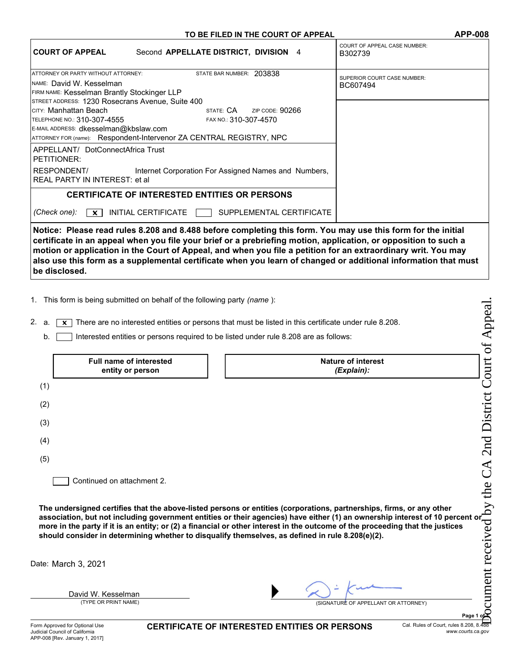#### TO BE FILED IN THE COURT OF APPEAL APP-008

| <b>COURT OF APPEAL</b>                                                                                                                                                     | Second APPELLATE DISTRICT, DIVISION 4                                                                     | <b>COURT OF APPEAL CASE NUMBER:</b><br>B302739                                                                                                                                                                                                                                                                                                   |
|----------------------------------------------------------------------------------------------------------------------------------------------------------------------------|-----------------------------------------------------------------------------------------------------------|--------------------------------------------------------------------------------------------------------------------------------------------------------------------------------------------------------------------------------------------------------------------------------------------------------------------------------------------------|
| ATTORNEY OR PARTY WITHOUT ATTORNEY:<br>INAME: David W. Kesselman<br><b>FIRM NAME: Kesselman Brantly Stockinger LLP</b><br>STREET ADDRESS: 1230 Rosecrans Avenue, Suite 400 | STATE BAR NUMBER: 203838                                                                                  | <b>SUPERIOR COURT CASE NUMBER:</b><br>BC607494                                                                                                                                                                                                                                                                                                   |
| Ісітү: Manhattan Beach<br>TELEPHONE NO.: 310-307-4555<br>E-MAIL ADDRESS: dkesselman@kbslaw.com<br>ATTORNEY FOR (name): Respondent-Intervenor ZA CENTRAL REGISTRY, NPC      | ZIP CODE: $90266$                                                                                         |                                                                                                                                                                                                                                                                                                                                                  |
| APPELLANT/ DotConnectAfrica Trust<br>PETITIONER:<br>RESPONDENT/<br>REAL PARTY IN INTEREST: et al.                                                                          | Internet Corporation For Assigned Names and Numbers,                                                      |                                                                                                                                                                                                                                                                                                                                                  |
| (Check one):<br>$\mathbf{x}$                                                                                                                                               | <b>CERTIFICATE OF INTERESTED ENTITIES OR PERSONS</b><br>INITIAL CERTIFICATE [<br>SUPPLEMENTAL CERTIFICATE |                                                                                                                                                                                                                                                                                                                                                  |
|                                                                                                                                                                            |                                                                                                           | Notice: Please read rules 8.208 and 8.488 before completing this form. You may use this form for the initial<br>certificate in an appeal when you file your brief or a prebriefing motion, application, or opposition to such a<br>motion or application in the Court of Appeal, and when you file a petition for an extraordinary writ. You may |

also use this form as a supplemental certificate when you learn of changed or additional information that must

1. This form is being submitted on behalf of the following party (name):

|                                                                                                                                                                                                                                    | 1. This form is being submitted on behalf of the following party <i>(name</i> ): |                                                                            |  |  |
|------------------------------------------------------------------------------------------------------------------------------------------------------------------------------------------------------------------------------------|----------------------------------------------------------------------------------|----------------------------------------------------------------------------|--|--|
| 2.<br>There are no interested entities or persons that must be listed in this certificate under rule 8.208.<br>a.<br>x                                                                                                             |                                                                                  |                                                                            |  |  |
| Interested entities or persons required to be listed under rule 8.208 are as follows:<br>b.                                                                                                                                        |                                                                                  |                                                                            |  |  |
|                                                                                                                                                                                                                                    | <b>Full name of interested</b><br>entity or person                               | of Appeal<br>2nd District Court<br><b>Nature of interest</b><br>(Explain): |  |  |
| (1)                                                                                                                                                                                                                                |                                                                                  |                                                                            |  |  |
| (2)                                                                                                                                                                                                                                |                                                                                  |                                                                            |  |  |
| (3)                                                                                                                                                                                                                                |                                                                                  |                                                                            |  |  |
| (4)                                                                                                                                                                                                                                |                                                                                  |                                                                            |  |  |
|                                                                                                                                                                                                                                    |                                                                                  |                                                                            |  |  |
|                                                                                                                                                                                                                                    |                                                                                  |                                                                            |  |  |
| (5)<br>Continued on attachment 2.<br>The undersigned certifies that the above-listed persons or entities (corporations, partnerships, firms, or any other<br>association, but not including government entities or their agencies) |                                                                                  |                                                                            |  |  |
| Date: March 3, 2021                                                                                                                                                                                                                |                                                                                  |                                                                            |  |  |
|                                                                                                                                                                                                                                    |                                                                                  |                                                                            |  |  |
|                                                                                                                                                                                                                                    |                                                                                  |                                                                            |  |  |

be disclosed.

CERTIFICATE OF INTERESTED ENTITIES OR PERSONS Cal. Rules of Court, rules 8.208, 8.488

www.courts.ca.gov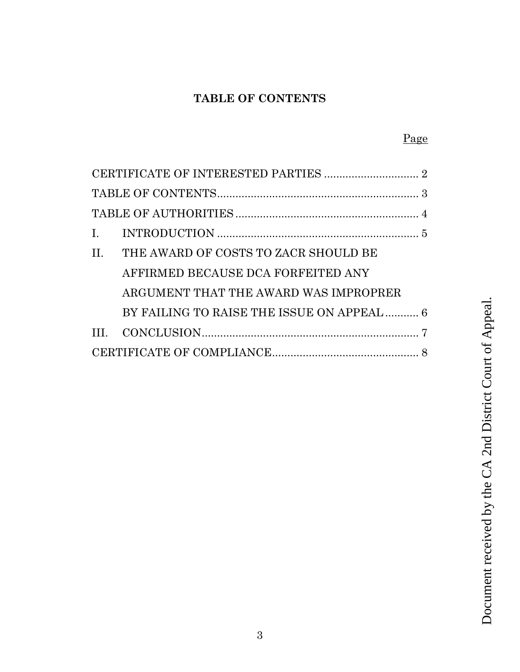# **TABLE OF CONTENTS**

<span id="page-2-0"></span>CERTIFICATE OF INTERESTED PARTIES ............................... 2

[TABLE OF CONTENTS..................................................................](#page-2-0) 3

[TABLE OF AUTHORITIES............................................................](#page-3-0) 4

| I.   |                                            |                                                          |
|------|--------------------------------------------|----------------------------------------------------------|
| II.  | THE AWARD OF COSTS TO ZACR SHOULD BE       |                                                          |
|      | AFFIRMED BECAUSE DCA FORFEITED ANY         |                                                          |
|      | ARGUMENT THAT THE AWARD WAS IMPROPRER      |                                                          |
|      | BY FAILING TO RAISE THE ISSUE ON APPEAL  6 |                                                          |
| III. |                                            |                                                          |
|      |                                            |                                                          |
|      |                                            |                                                          |
|      |                                            | Document received by the CA 2nd District Court of Appeal |
|      |                                            |                                                          |
|      |                                            |                                                          |
|      |                                            |                                                          |
|      |                                            |                                                          |
|      |                                            |                                                          |
|      |                                            |                                                          |
|      |                                            |                                                          |
|      |                                            |                                                          |
|      |                                            |                                                          |
|      |                                            |                                                          |
|      |                                            |                                                          |

# Page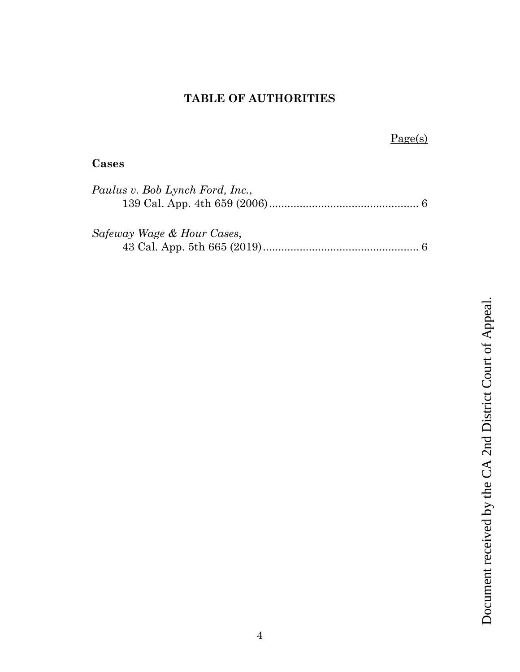# **TABLE OF AUTHORITIES**

# Page(s)

# <span id="page-3-0"></span>**Cases**

| Paulus v. Bob Lynch Ford, Inc., |  |
|---------------------------------|--|
|                                 |  |
|                                 |  |
| Safeway Wage & Hour Cases,      |  |
|                                 |  |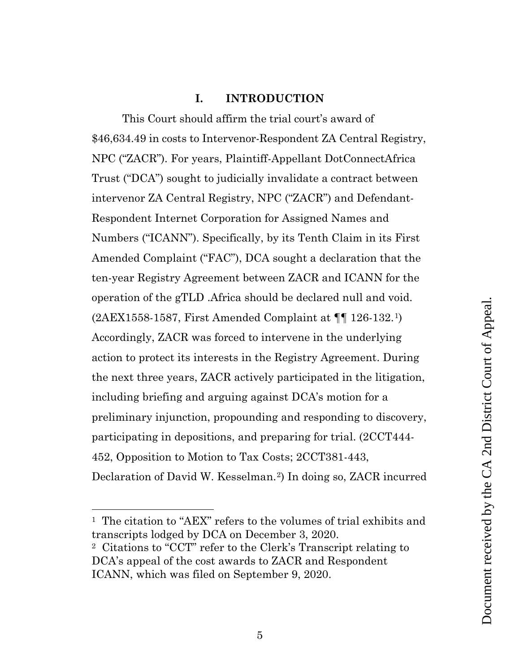# **I. INTRODUCTION**

<span id="page-4-0"></span>This Court should affirm the trial court's award of \$46,634.49 in costs to Intervenor-Respondent ZA Central Registry, NPC ("ZACR"). For years, Plaintiff-Appellant DotConnectAfrica Trust ("DCA") sought to judicially invalidate a contract between intervenor ZA Central Registry, NPC ("ZACR") and Defendant-Respondent Internet Corporation for Assigned Names and Numbers ("ICANN"). Specifically, by its Tenth Claim in its First Amended Complaint ("FAC"), DCA sought a declaration that the ten-year Registry Agreement between ZACR and ICANN for the operation of the gTLD .Africa should be declared null and void. (2AEX1558-1587, First Amended Complaint at ¶¶ 126-132.[1](#page-4-1)) Accordingly, ZACR was forced to intervene in the underlying action to protect its interests in the Registry Agreement. During the next three years, ZACR actively participated in the litigation, including briefing and arguing against DCA's motion for a preliminary injunction, propounding and responding to discovery, participating in depositions, and preparing for trial. (2CCT444- 452, Opposition to Motion to Tax Costs; 2CCT381-443, Declaration of David W. Kesselman.[2\)](#page-4-2) In doing so, ZACR incurred

<span id="page-4-1"></span><sup>&</sup>lt;sup>1</sup> The citation to "AEX" refers to the volumes of trial exhibits and transcripts lodged by DCA on December 3, 2020.

<span id="page-4-2"></span><sup>2</sup> Citations to "CCT" refer to the Clerk's Transcript relating to DCA's appeal of the cost awards to ZACR and Respondent ICANN, which was filed on September 9, 2020.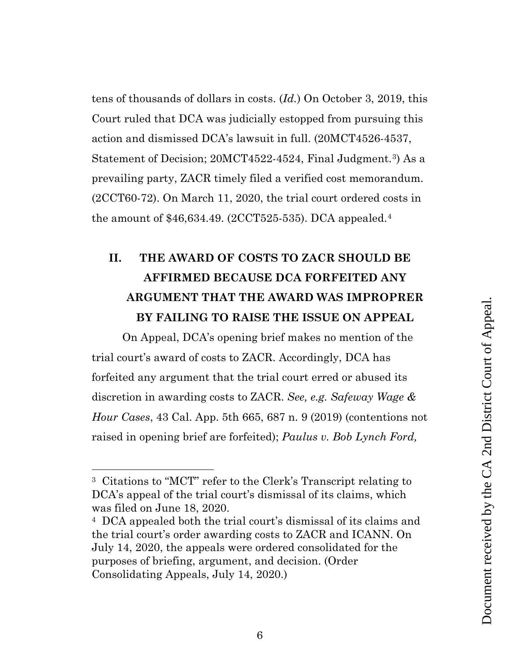tens of thousands of dollars in costs. (*Id.*) On October 3, 2019, this Court ruled that DCA was judicially estopped from pursuing this action and dismissed DCA's lawsuit in full. (20MCT4526-4537, Statement of Decision; 20MCT4522-4524, Final Judgment.<sup>3</sup>) As a prevailing party, ZACR timely filed a verified cost memorandum. (2CCT60-72). On March 11, 2020, the trial court ordered costs in the amount of \$46,634.49. (2CCT525-535). DCA appealed.[4](#page-5-2)

# <span id="page-5-0"></span>**II. THE AWARD OF COSTS TO ZACR SHOULD BE AFFIRMED BECAUSE DCA FORFEITED ANY ARGUMENT THAT THE AWARD WAS IMPROPRER BY FAILING TO RAISE THE ISSUE ON APPEAL**

On Appeal, DCA's opening brief makes no mention of the trial court's award of costs to ZACR. Accordingly, DCA has forfeited any argument that the trial court erred or abused its discretion in awarding costs to ZACR. *See, e.g. Safeway Wage & Hour Cases*, 43 Cal. App. 5th 665, 687 n. 9 (2019) (contentions not raised in opening brief are forfeited); *Paulus v. Bob Lynch Ford,* 

<span id="page-5-1"></span><sup>3</sup> Citations to "MCT" refer to the Clerk's Transcript relating to DCA's appeal of the trial court's dismissal of its claims, which was filed on June 18, 2020.

<span id="page-5-2"></span><sup>4</sup> DCA appealed both the trial court's dismissal of its claims and the trial court's order awarding costs to ZACR and ICANN. On July 14, 2020, the appeals were ordered consolidated for the purposes of briefing, argument, and decision. (Order Consolidating Appeals, July 14, 2020.)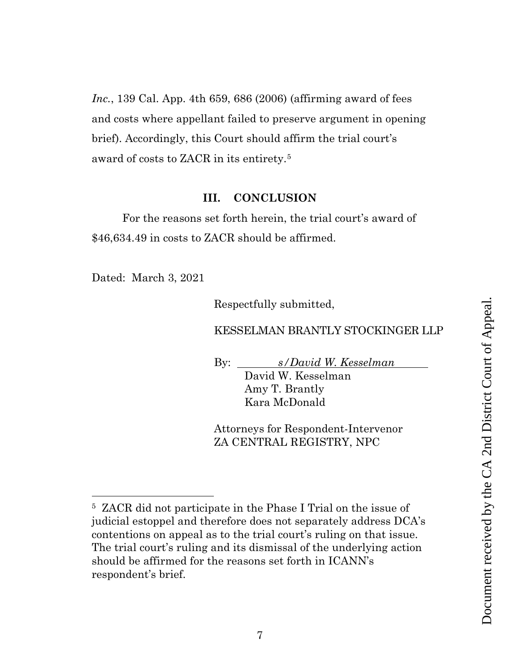*Inc.*, 139 Cal. App. 4th 659, 686 (2006) (affirming award of fees and costs where appellant failed to preserve argument in opening brief). Accordingly, this Court should affirm the trial court's award of costs to ZACR in its entirety.[5](#page-6-1)

### **III. CONCLUSION**

<span id="page-6-0"></span>For the reasons set forth herein, the trial court's award of \$46,634.49 in costs to ZACR should be affirmed.

Dated: March 3, 2021

Respectfully submitted,

### KESSELMAN BRANTLY STOCKINGER LLP

By: *s/David W. Kesselman* David W. Kesselman Amy T. Brantly Kara McDonald

Attorneys for Respondent-Intervenor ZA CENTRAL REGISTRY, NPC

<span id="page-6-1"></span><sup>5</sup> ZACR did not participate in the Phase I Trial on the issue of judicial estoppel and therefore does not separately address DCA's contentions on appeal as to the trial court's ruling on that issue. The trial court's ruling and its dismissal of the underlying action should be affirmed for the reasons set forth in ICANN's respondent's brief.